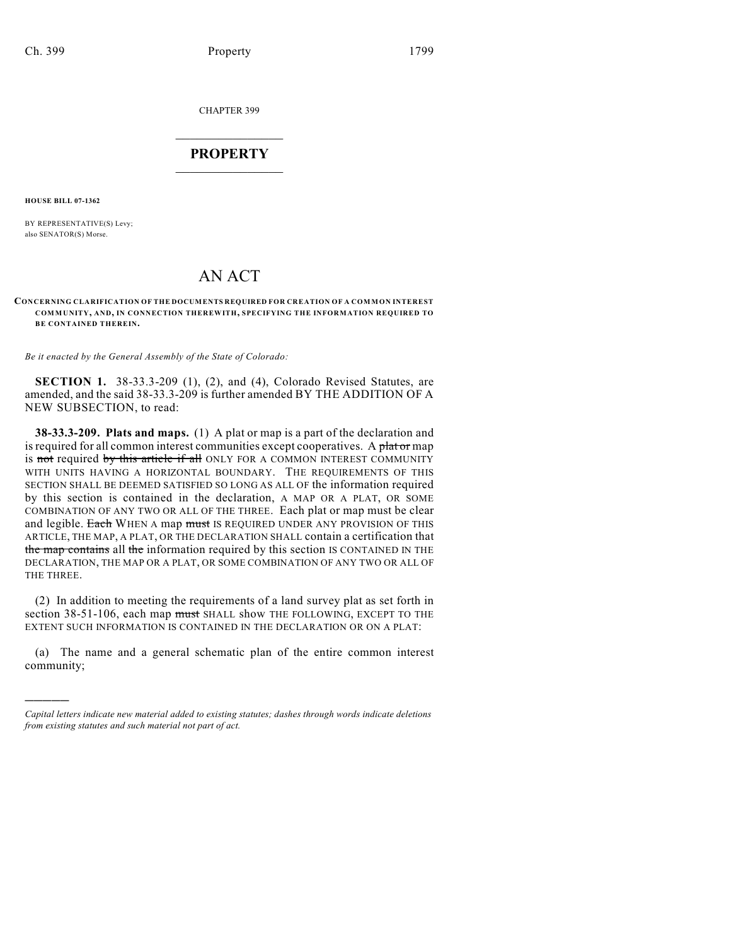CHAPTER 399

## $\mathcal{L}_\text{max}$  . The set of the set of the set of the set of the set of the set of the set of the set of the set of the set of the set of the set of the set of the set of the set of the set of the set of the set of the set **PROPERTY**  $\_$   $\_$   $\_$   $\_$   $\_$   $\_$   $\_$   $\_$   $\_$

**HOUSE BILL 07-1362**

)))))

BY REPRESENTATIVE(S) Levy; also SENATOR(S) Morse.

# AN ACT

#### **CONCERNING CLARIFICATION OF THE DOCUMENTS REQUIRED FOR CREATION OF A COMMON INTEREST COMMUNITY, AND, IN CONNECTION THEREWITH, SPECIFYING THE INFORMATION REQUIRED TO BE CONTAINED THEREIN.**

*Be it enacted by the General Assembly of the State of Colorado:*

**SECTION 1.** 38-33.3-209 (1), (2), and (4), Colorado Revised Statutes, are amended, and the said 38-33.3-209 is further amended BY THE ADDITION OF A NEW SUBSECTION, to read:

**38-33.3-209. Plats and maps.** (1) A plat or map is a part of the declaration and is required for all common interest communities except cooperatives. A plat or map is not required by this article if all ONLY FOR A COMMON INTEREST COMMUNITY WITH UNITS HAVING A HORIZONTAL BOUNDARY. THE REQUIREMENTS OF THIS SECTION SHALL BE DEEMED SATISFIED SO LONG AS ALL OF the information required by this section is contained in the declaration, A MAP OR A PLAT, OR SOME COMBINATION OF ANY TWO OR ALL OF THE THREE. Each plat or map must be clear and legible. Each WHEN A map must IS REQUIRED UNDER ANY PROVISION OF THIS ARTICLE, THE MAP, A PLAT, OR THE DECLARATION SHALL contain a certification that the map contains all the information required by this section IS CONTAINED IN THE DECLARATION, THE MAP OR A PLAT, OR SOME COMBINATION OF ANY TWO OR ALL OF THE THREE.

(2) In addition to meeting the requirements of a land survey plat as set forth in section 38-51-106, each map must SHALL show THE FOLLOWING, EXCEPT TO THE EXTENT SUCH INFORMATION IS CONTAINED IN THE DECLARATION OR ON A PLAT:

(a) The name and a general schematic plan of the entire common interest community;

*Capital letters indicate new material added to existing statutes; dashes through words indicate deletions from existing statutes and such material not part of act.*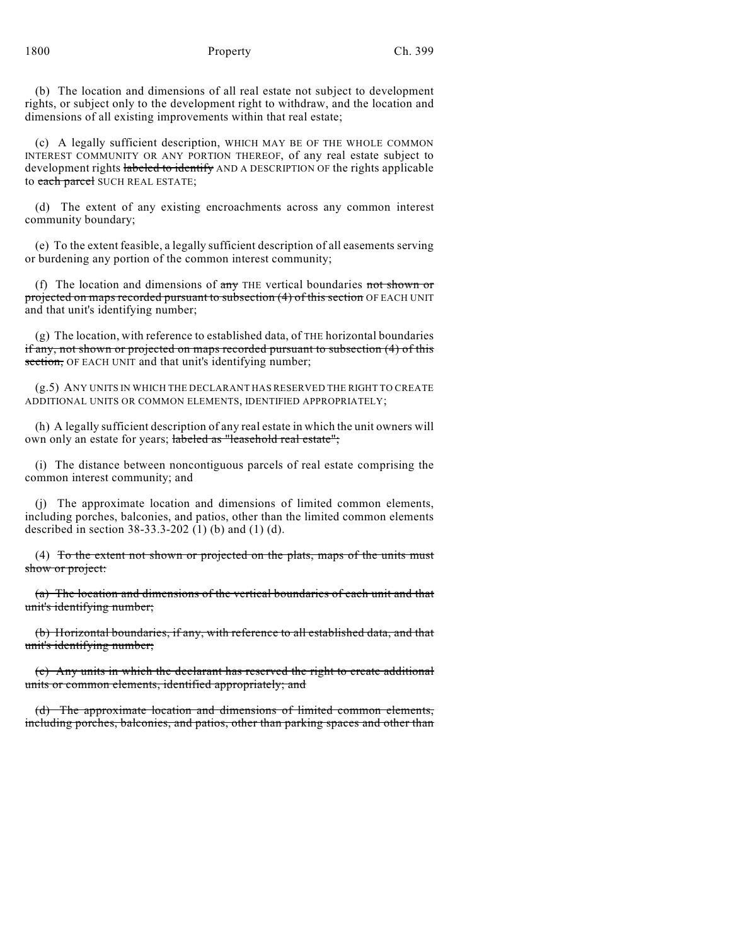(b) The location and dimensions of all real estate not subject to development rights, or subject only to the development right to withdraw, and the location and dimensions of all existing improvements within that real estate;

(c) A legally sufficient description, WHICH MAY BE OF THE WHOLE COMMON INTEREST COMMUNITY OR ANY PORTION THEREOF, of any real estate subject to development rights labeled to identify AND A DESCRIPTION OF the rights applicable to each parcel SUCH REAL ESTATE;

(d) The extent of any existing encroachments across any common interest community boundary;

(e) To the extent feasible, a legally sufficient description of all easements serving or burdening any portion of the common interest community;

(f) The location and dimensions of  $\frac{1}{n}$  THE vertical boundaries not shown or projected on maps recorded pursuant to subsection (4) of this section OF EACH UNIT and that unit's identifying number;

(g) The location, with reference to established data, of THE horizontal boundaries if any, not shown or projected on maps recorded pursuant to subsection (4) of this section, OF EACH UNIT and that unit's identifying number;

(g.5) ANY UNITS IN WHICH THE DECLARANT HAS RESERVED THE RIGHT TO CREATE ADDITIONAL UNITS OR COMMON ELEMENTS, IDENTIFIED APPROPRIATELY;

(h) A legally sufficient description of any real estate in which the unit owners will own only an estate for years; labeled as "leasehold real estate";

(i) The distance between noncontiguous parcels of real estate comprising the common interest community; and

(j) The approximate location and dimensions of limited common elements, including porches, balconies, and patios, other than the limited common elements described in section 38-33.3-202 (1) (b) and (1) (d).

(4) To the extent not shown or projected on the plats, maps of the units must show or project:

(a) The location and dimensions of the vertical boundaries of each unit and that unit's identifying number;

(b) Horizontal boundaries, if any, with reference to all established data, and that unit's identifying number;

(c) Any units in which the declarant has reserved the right to create additional units or common elements, identified appropriately; and

(d) The approximate location and dimensions of limited common elements, including porches, balconies, and patios, other than parking spaces and other than